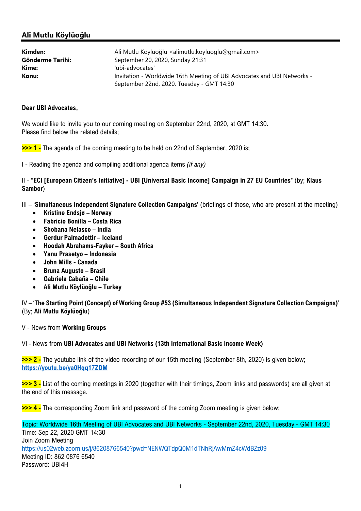## Ali Mutlu Köylüoğlu

| Kimden:          | Ali Mutlu Köylüoğlu <alimutlu.koyluoglu@gmail.com></alimutlu.koyluoglu@gmail.com> |
|------------------|-----------------------------------------------------------------------------------|
| Gönderme Tarihi: | September 20, 2020, Sunday 21:31                                                  |
| Kime:            | 'ubi-advocates'                                                                   |
| Konu:            | Invitation - Worldwide 16th Meeting of UBI Advocates and UBI Networks -           |
|                  | September 22nd, 2020, Tuesday - GMT 14:30                                         |

## Dear UBI Advocates,

We would like to invite you to our coming meeting on September 22nd, 2020, at GMT 14:30. Please find below the related details;

>>> 1 - The agenda of the coming meeting to be held on 22nd of September, 2020 is;

I - Reading the agenda and compiling additional agenda items (if any)

II - "ECI [European Citizen's Initiative] - UBI [Universal Basic Income] Campaign in 27 EU Countries" (by; Klaus Sambor)

III – 'Simultaneous Independent Signature Collection Campaigns' (briefings of those, who are present at the meeting)

- Kristine Endsjø Norway
- Fabricio Bonilla Costa Rica
- Shobana Nelasco India
- Gerdur Palmadottir Iceland
- Hoodah Abrahams-Fayker South Africa
- Yanu Prasetyo Indonesia
- John Mills Canada
- Bruna Augusto Brasil
- Gabriela Cabaña Chile
- Ali Mutlu Köylüoğlu Turkey

IV – 'The Starting Point (Concept) of Working Group #53 (Simultaneous Independent Signature Collection Campaigns)' (By; Ali Mutlu Köylüoğlu)

V - News from Working Groups

## VI - News from UBI Advocates and UBI Networks (13th International Basic Income Week)

>>> 2 - The youtube link of the video recording of our 15th meeting (September 8th, 2020) is given below; https://youtu.be/ya0Hqq17ZDM

>>> 3 - List of the coming meetings in 2020 (together with their timings, Zoom links and passwords) are all given at the end of this message.

>>> 4 - The corresponding Zoom link and password of the coming Zoom meeting is given below;

Topic: Worldwide 16th Meeting of UBI Advocates and UBI Networks - September 22nd, 2020, Tuesday - GMT 14:30 Time: Sep 22, 2020 GMT 14:30 Join Zoom Meeting https://us02web.zoom.us/j/86208766540?pwd=NENWQTdpQ0M1dTNhRjAwMmZ4cWdBZz09 Meeting ID: 862 0876 6540 Password: UBI4H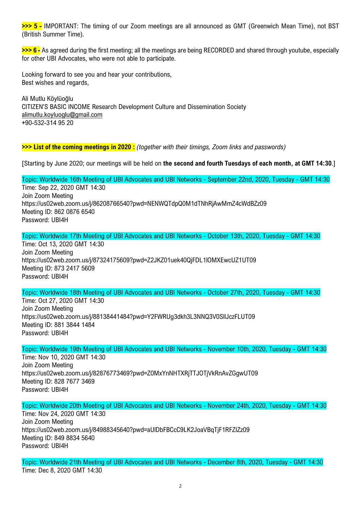>>> 5 - IMPORTANT: The timing of our Zoom meetings are all announced as GMT (Greenwich Mean Time), not BST (British Summer Time).

>>> 6 - As agreed during the first meeting; all the meetings are being RECORDED and shared through youtube, especially for other UBI Advocates, who were not able to participate.

Looking forward to see you and hear your contributions, Best wishes and regards,

Ali Mutlu Köylüoğlu CITIZEN'S BASIC INCOME Research Development Culture and Dissemination Society alimutlu.koyluoglu@gmail.com +90-532-314 95 20

>>> List of the coming meetings in 2020 : (together with their timings, Zoom links and passwords)

[Starting by June 2020; our meetings will be held on the second and fourth Tuesdays of each month, at GMT 14:30.]

Topic: Worldwide 16th Meeting of UBI Advocates and UBI Networks - September 22nd, 2020, Tuesday - GMT 14:30 Time: Sep 22, 2020 GMT 14:30 Join Zoom Meeting https://us02web.zoom.us/j/86208766540?pwd=NENWQTdpQ0M1dTNhRjAwMmZ4cWdBZz09 Meeting ID: 862 0876 6540 Password: UBI4H

Topic: Worldwide 17th Meeting of UBI Advocates and UBI Networks - October 13th, 2020, Tuesday - GMT 14:30 Time: Oct 13, 2020 GMT 14:30 Join Zoom Meeting https://us02web.zoom.us/j/87324175609?pwd=Z2JKZ01uek40QjFDL1lOMXEwcUZ1UT09

Meeting ID: 873 2417 5609 Password: UBI4H

Topic: Worldwide 18th Meeting of UBI Advocates and UBI Networks - October 27th, 2020, Tuesday - GMT 14:30

Time: Oct 27, 2020 GMT 14:30 Join Zoom Meeting https://us02web.zoom.us/j/88138441484?pwd=Y2FWRUg3dkh3L3NNQ3V0SllJczFLUT09 Meeting ID: 881 3844 1484 Password: UBI4H

Topic: Worldwide 19th Meeting of UBI Advocates and UBI Networks - November 10th, 2020, Tuesday - GMT 14:30

Time: Nov 10, 2020 GMT 14:30 Join Zoom Meeting https://us02web.zoom.us/j/82876773469?pwd=Z0MxYnNHTXRjTTJOTjVkRnAvZGgwUT09 Meeting ID: 828 7677 3469 Password: UBI4H

Topic: Worldwide 20th Meeting of UBI Advocates and UBI Networks - November 24th, 2020, Tuesday - GMT 14:30 Time: Nov 24, 2020 GMT 14:30 Join Zoom Meeting https://us02web.zoom.us/j/84988345640?pwd=aUlDbFBCcC9LK2JoaVBqTjF1RFZIZz09 Meeting ID: 849 8834 5640 Password: UBI4H

Topic: Worldwide 21th Meeting of UBI Advocates and UBI Networks - December 8th, 2020, Tuesday - GMT 14:30 Time: Dec 8, 2020 GMT 14:30